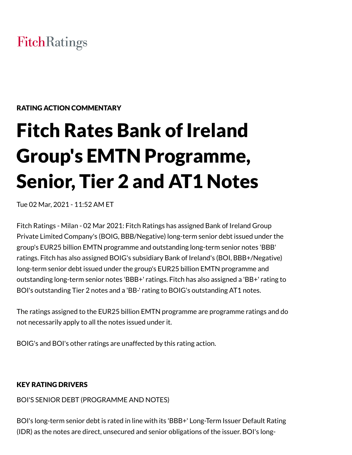## **FitchRatings**

#### RATING ACTION COMMENTARY

# Fitch Rates Bank of Ireland Group's EMTN Programme, Senior, Tier 2 and AT1 Notes

Tue 02 Mar, 2021 - 11:52 AM ET

Fitch Ratings - Milan - 02 Mar 2021: Fitch Ratings has assigned Bank of Ireland Group Private Limited Company's (BOIG, BBB/Negative) long-term senior debt issued under the group's EUR25 billion EMTN programme and outstanding long-term senior notes 'BBB' ratings. Fitch has also assigned BOIG's subsidiary Bank of Ireland's (BOI, BBB+/Negative) long-term senior debt issued under the group's EUR25 billion EMTN programme and outstanding long-term senior notes 'BBB+' ratings. Fitch has also assigned a 'BB+' rating to BOI's outstanding Tier 2 notes and a 'BB-' rating to BOIG's outstanding AT1 notes.

The ratings assigned to the EUR25 billion EMTN programme are programme ratings and do not necessarily apply to all the notes issued under it.

BOIG's and BOI's other ratings are unaffected by this rating action.

#### KEY RATING DRIVERS

BOI'S SENIOR DEBT (PROGRAMME AND NOTES)

BOI's long-term senior debt is rated in line with its 'BBB+' Long-Term Issuer Default Rating (IDR) as the notes are direct, unsecured and senior obligations of the issuer. BOI's long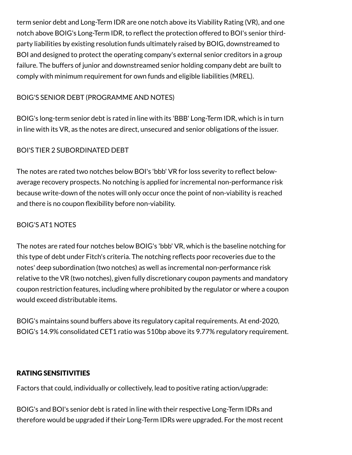term senior debt and Long-Term IDR are one notch above its Viability Rating (VR), and one notch above BOIG's Long-Term IDR, to reflect the protection offered to BOI's senior thirdparty liabilities by existing resolution funds ultimately raised by BOIG, downstreamed to BOI and designed to protect the operating company's external senior creditors in a group failure. The buffers of junior and downstreamed senior holding company debt are built to comply with minimum requirement for own funds and eligible liabilities (MREL).

#### BOIG'S SENIOR DEBT (PROGRAMME AND NOTES)

BOIG's long-term senior debt is rated in line with its 'BBB' Long-Term IDR, which is in turn in line with its VR, as the notes are direct, unsecured and senior obligations of the issuer.

#### BOI'S TIER 2 SUBORDINATED DEBT

The notes are rated two notches below BOI's 'bbb' VR for loss severity to reflect belowaverage recovery prospects. No notching is applied for incremental non-performance risk because write-down of the notes will only occur once the point of non-viability is reached and there is no coupon flexibility before non-viability.

#### BOIG'S AT1 NOTES

The notes are rated four notches below BOIG's 'bbb' VR, which is the baseline notching for this type of debt under Fitch's criteria. The notching reflects poor recoveries due to the notes' deep subordination (two notches) as well as incremental non-performance risk relative to the VR (two notches), given fully discretionary coupon payments and mandatory coupon restriction features, including where prohibited by the regulator or where a coupon would exceed distributable items.

BOIG's maintains sound buffers above its regulatory capital requirements. At end-2020, BOIG's 14.9% consolidated CET1 ratio was 510bp above its 9.77% regulatory requirement.

#### RATING SENSITIVITIES

Factors that could, individually or collectively, lead to positive rating action/upgrade:

BOIG's and BOI's senior debt is rated in line with their respective Long-Term IDRs and therefore would be upgraded if their Long-Term IDRs were upgraded. For the most recent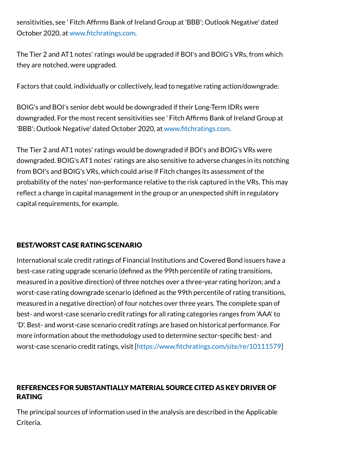sensitivities, see 'Fitch Affirms Bank of Ireland Group at 'BBB'; Outlook Negative' dated October 2020, at www.fitchratings.com.

The Tier 2 and AT1 notes' ratings would be upgraded if BOI's and BOIG's VRs, from which they are notched, were upgraded.

Factors that could, individually or collectively, lead to negative rating action/downgrade:

BOIG's and BOI's senior debt would be downgraded if their Long-Term IDRs were downgraded. For the most recent sensitivities see 'Fitch Affirms Bank of Ireland Group at 'BBB'; Outlook Negative' dated October 2020, at www.fitchratings.com.

The Tier 2 and AT1 notes' ratings would be downgraded if BOI's and BOIG's VRs were downgraded. BOIG's AT1 notes' ratings are also sensitive to adverse changes in its notching from BOI's and BOIG's VRs, which could arise if Fitch changes its assessment of the probability of the notes' non-performance relative to the risk captured in the VRs. This may reflect a change in capital management in the group or an unexpected shift in regulatory capital requirements, for example.

#### BEST/WORST CASE RATING SCENARIO

International scale credit ratings of Financial Institutions and Covered Bond issuers have a best-case rating upgrade scenario (defined as the 99th percentile of rating transitions, measured in a positive direction) of three notches over a three-year rating horizon; and a worst-case rating downgrade scenario (defined as the 99th percentile of rating transitions, measured in a negative direction) of four notches over three years. The complete span of best- and worst-case scenario credit ratings for all rating categories ranges from 'AAA' to 'D'. Best- and worst-case scenario credit ratings are based on historical performance. For more information about the methodology used to determine sector-specific best- and worst-case scenario credit ratings, visit [https://www.fitchratings.com/site/re/10111579]

#### REFERENCES FOR SUBSTANTIALLY MATERIAL SOURCE CITED AS KEY DRIVER OF RATING

The principal sources of information used in the analysis are described in the Applicable Criteria.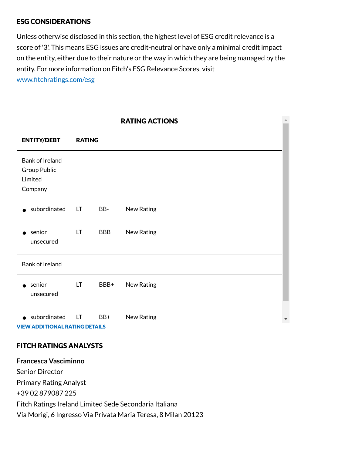#### ESG CONSIDERATIONS

Unless otherwise disclosed in this section, the highest level of ESG credit relevance is a score of '3'. This means ESG issues are credit-neutral or have only a minimal credit impact on the entity, either due to their nature or the way in which they are being managed by the entity. For more information on Fitch's ESG Relevance Scores, visit www.fitchratings.com/esg

### RATING ACTIONS ENTITY/DEBT RATING Bank of Ireland Group Public Limited Company LT BB- New Rating LT BBB New Rating Bank of Ireland LT BBB+ New Rating LT BB+ New Rating • subordinated • senior unsecured • senior unsecured • subordinated

VIEW ADDITIONAL RATING DETAILS

#### FITCH RATINGS ANALYSTS

**Francesca Vasciminno** Senior Director Primary Rating Analyst +39 02 879087 225 Fitch Ratings Ireland Limited Sede Secondaria Italiana Via Morigi, 6 Ingresso Via Privata Maria Teresa, 8 Milan 20123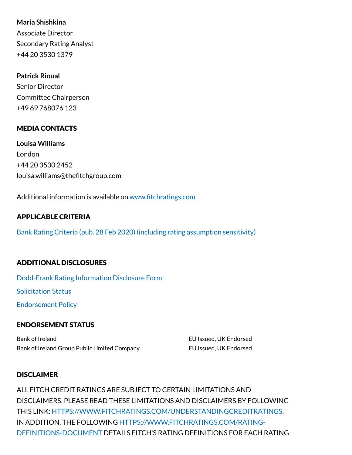#### **Maria Shishkina**

Associate Director Secondary Rating Analyst +44 20 3530 1379

#### **Patrick Rioual**

Senior Director Committee Chairperson +49 69 768076 123

#### MEDIA CONTACTS

**Louisa Williams** London +44 20 3530 2452 louisa.williams@thefitchgroup.com

Additional information is available on www.fitchratings.com

#### APPLICABLE CRITERIA

Bank Rating Criteria (pub. 28 Feb 2020) (including rating [assumption](https://www.fitchratings.com/research/banks/bank-rating-criteria-28-02-2020) sensitivity)

#### ADDITIONAL DISCLOSURES

[Dodd-Frank](https://www.fitchratings.com/research/banks/fitch-rates-bank-of-ireland-group-emtn-programme-senior-tier-2-at1-notes-02-03-2021/dodd-frank-disclosure) Rating Information Disclosure Form

Solicitation Status

[Endorsement](#page-7-0) Policy

#### ENDORSEMENT STATUS

Bank of Ireland EU Issued, UK Endorsed Bank of Ireland Group Public Limited Company FU Issued, UK Endorsed

#### **DISCLAIMER**

ALL FITCH CREDIT RATINGS ARE SUBJECT TO CERTAIN LIMITATIONS AND DISCLAIMERS. PLEASE READ THESE LIMITATIONS AND DISCLAIMERS BY FOLLOWING THIS LINK: [HTTPS://WWW.FITCHRATINGS.COM/UNDERSTANDINGCREDITRATINGS](https://www.fitchratings.com/UNDERSTANDINGCREDITRATINGS). IN ADDITION, THE FOLLOWING [HTTPS://WWW.FITCHRATINGS.COM/RATING-](https://www.fitchratings.com/rating-definitions-document)DEFINITIONS-DOCUMENT DETAILS FITCH'S RATING DEFINITIONS FOR EACH RATING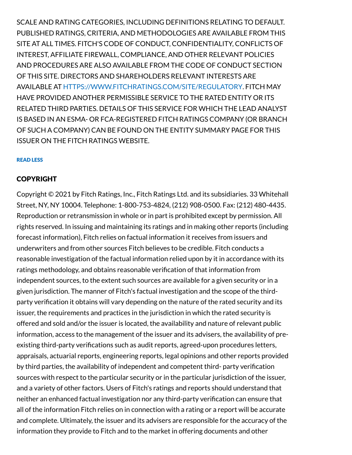SCALE AND RATING CATEGORIES, INCLUDING DEFINITIONS RELATING TO DEFAULT. PUBLISHED RATINGS, CRITERIA, AND METHODOLOGIES ARE AVAILABLE FROM THIS SITE AT ALL TIMES. FITCH'S CODE OF CONDUCT, CONFIDENTIALITY, CONFLICTS OF INTEREST, AFFILIATE FIREWALL, COMPLIANCE, AND OTHER RELEVANT POLICIES AND PROCEDURES ARE ALSO AVAILABLE FROM THE CODE OF CONDUCT SECTION OF THIS SITE. DIRECTORS AND SHAREHOLDERS RELEVANT INTERESTS ARE AVAILABLE AT [HTTPS://WWW.FITCHRATINGS.COM/SITE/REGULATORY](https://www.fitchratings.com/site/regulatory). FITCH MAY HAVE PROVIDED ANOTHER PERMISSIBLE SERVICE TO THE RATED ENTITY OR ITS RELATED THIRD PARTIES. DETAILS OF THIS SERVICE FOR WHICH THE LEAD ANALYST IS BASED IN AN ESMA- OR FCA-REGISTERED FITCH RATINGS COMPANY (OR BRANCH OF SUCH A COMPANY) CAN BE FOUND ON THE ENTITY SUMMARY PAGE FOR THIS ISSUER ON THE FITCH RATINGS WEBSITE.

#### READ LESS

#### COPYRIGHT

Copyright © 2021 by Fitch Ratings, Inc., Fitch Ratings Ltd. and its subsidiaries. 33 Whitehall Street, NY, NY 10004. Telephone: 1-800-753-4824, (212) 908-0500. Fax: (212) 480-4435. Reproduction or retransmission in whole or in part is prohibited except by permission. All rights reserved. In issuing and maintaining its ratings and in making other reports (including forecast information), Fitch relies on factual information it receives from issuers and underwriters and from other sources Fitch believes to be credible. Fitch conducts a reasonable investigation of the factual information relied upon by it in accordance with its ratings methodology, and obtains reasonable verification of that information from independent sources, to the extent such sources are available for a given security or in a given jurisdiction. The manner of Fitch's factual investigation and the scope of the thirdparty verification it obtains will vary depending on the nature of the rated security and its issuer, the requirements and practices in the jurisdiction in which the rated security is offered and sold and/or the issuer is located, the availability and nature of relevant public information, access to the management of the issuer and its advisers, the availability of preexisting third-party verifications such as audit reports, agreed-upon procedures letters, appraisals, actuarial reports, engineering reports, legal opinions and other reports provided by third parties, the availability of independent and competent third- party verification sources with respect to the particular security or in the particular jurisdiction of the issuer, and a variety of other factors. Users of Fitch's ratings and reports should understand that neither an enhanced factual investigation nor any third-party verification can ensure that all of the information Fitch relies on in connection with a rating or a report will be accurate and complete. Ultimately, the issuer and its advisers are responsible for the accuracy of the information they provide to Fitch and to the market in offering documents and other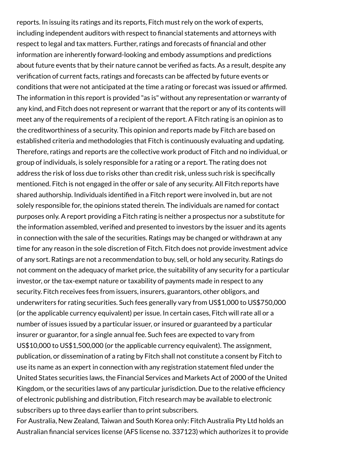reports. In issuing its ratings and its reports, Fitch must rely on the work of experts, including independent auditors with respect to financial statements and attorneys with respect to legal and tax matters. Further, ratings and forecasts of financial and other information are inherently forward-looking and embody assumptions and predictions about future events that by their nature cannot be verified as facts. As a result, despite any verification of current facts, ratings and forecasts can be affected by future events or conditions that were not anticipated at the time a rating or forecast was issued or afrmed. The information in this report is provided "as is" without any representation or warranty of any kind, and Fitch does not represent or warrant that the report or any of its contents will meet any of the requirements of a recipient of the report. A Fitch rating is an opinion as to the creditworthiness of a security. This opinion and reports made by Fitch are based on established criteria and methodologies that Fitch is continuously evaluating and updating. Therefore, ratings and reports are the collective work product of Fitch and no individual, or group of individuals, is solely responsible for a rating or a report. The rating does not address the risk of loss due to risks other than credit risk, unless such risk is specifically mentioned. Fitch is not engaged in the offer or sale of any security. All Fitch reports have shared authorship. Individuals identified in a Fitch report were involved in, but are not solely responsible for, the opinions stated therein. The individuals are named for contact purposes only. A report providing a Fitch rating is neither a prospectus nor a substitute for the information assembled, verified and presented to investors by the issuer and its agents in connection with the sale of the securities. Ratings may be changed or withdrawn at any time for any reason in the sole discretion of Fitch. Fitch does not provide investment advice of any sort. Ratings are not a recommendation to buy, sell, or hold any security. Ratings do not comment on the adequacy of market price, the suitability of any security for a particular investor, or the tax-exempt nature or taxability of payments made in respect to any security. Fitch receives fees from issuers, insurers, guarantors, other obligors, and underwriters for rating securities. Such fees generally vary from US\$1,000 to US\$750,000 (or the applicable currency equivalent) per issue. In certain cases, Fitch will rate all or a number of issues issued by a particular issuer, or insured or guaranteed by a particular insurer or guarantor, for a single annual fee. Such fees are expected to vary from US\$10,000 to US\$1,500,000 (or the applicable currency equivalent). The assignment, publication, or dissemination of a rating by Fitch shall not constitute a consent by Fitch to use its name as an expert in connection with any registration statement filed under the United States securities laws, the Financial Services and Markets Act of 2000 of the United Kingdom, or the securities laws of any particular jurisdiction. Due to the relative efficiency of electronic publishing and distribution, Fitch research may be available to electronic subscribers up to three days earlier than to print subscribers.

For Australia, New Zealand, Taiwan and South Korea only: Fitch Australia Pty Ltd holds an Australian financial services license (AFS license no. 337123) which authorizes it to provide